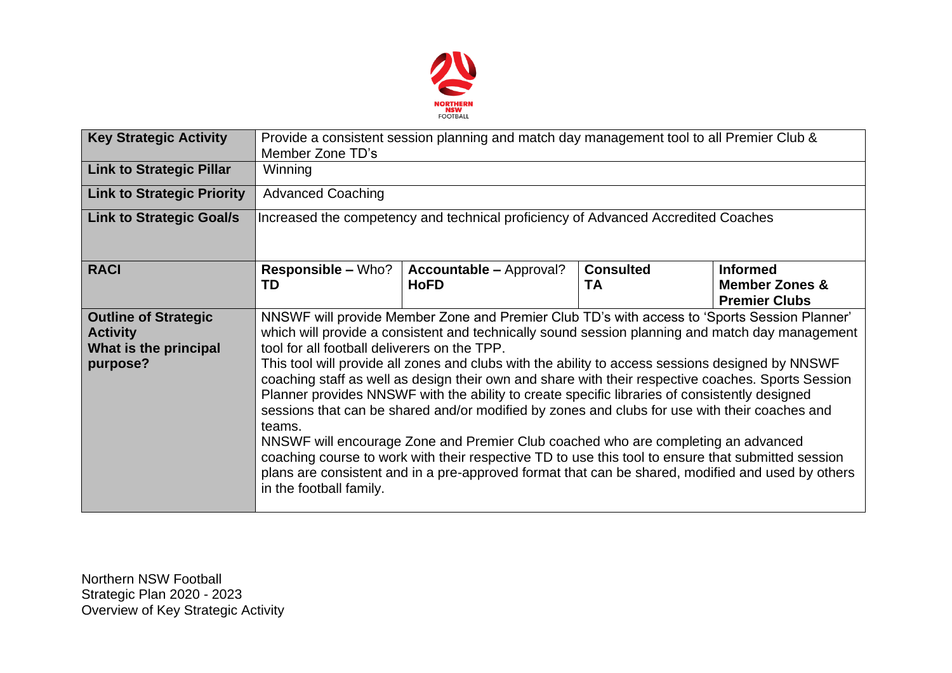

| <b>Key Strategic Activity</b>                                                       | Provide a consistent session planning and match day management tool to all Premier Club &<br>Member Zone TD's                                                                                                                                                                                                                                                                                                                                                                                                                                                                                                                                                                                                                                                                                                                                                                                                                                                                                    |                                               |                               |                                                                      |  |  |
|-------------------------------------------------------------------------------------|--------------------------------------------------------------------------------------------------------------------------------------------------------------------------------------------------------------------------------------------------------------------------------------------------------------------------------------------------------------------------------------------------------------------------------------------------------------------------------------------------------------------------------------------------------------------------------------------------------------------------------------------------------------------------------------------------------------------------------------------------------------------------------------------------------------------------------------------------------------------------------------------------------------------------------------------------------------------------------------------------|-----------------------------------------------|-------------------------------|----------------------------------------------------------------------|--|--|
| <b>Link to Strategic Pillar</b>                                                     | Winning                                                                                                                                                                                                                                                                                                                                                                                                                                                                                                                                                                                                                                                                                                                                                                                                                                                                                                                                                                                          |                                               |                               |                                                                      |  |  |
| <b>Link to Strategic Priority</b>                                                   | <b>Advanced Coaching</b>                                                                                                                                                                                                                                                                                                                                                                                                                                                                                                                                                                                                                                                                                                                                                                                                                                                                                                                                                                         |                                               |                               |                                                                      |  |  |
| <b>Link to Strategic Goal/s</b>                                                     | Increased the competency and technical proficiency of Advanced Accredited Coaches                                                                                                                                                                                                                                                                                                                                                                                                                                                                                                                                                                                                                                                                                                                                                                                                                                                                                                                |                                               |                               |                                                                      |  |  |
| <b>RACI</b>                                                                         | <b>Responsible - Who?</b><br>TD                                                                                                                                                                                                                                                                                                                                                                                                                                                                                                                                                                                                                                                                                                                                                                                                                                                                                                                                                                  | <b>Accountable - Approval?</b><br><b>HoFD</b> | <b>Consulted</b><br><b>TA</b> | <b>Informed</b><br><b>Member Zones &amp;</b><br><b>Premier Clubs</b> |  |  |
| <b>Outline of Strategic</b><br><b>Activity</b><br>What is the principal<br>purpose? | NNSWF will provide Member Zone and Premier Club TD's with access to 'Sports Session Planner'<br>which will provide a consistent and technically sound session planning and match day management<br>tool for all football deliverers on the TPP.<br>This tool will provide all zones and clubs with the ability to access sessions designed by NNSWF<br>coaching staff as well as design their own and share with their respective coaches. Sports Session<br>Planner provides NNSWF with the ability to create specific libraries of consistently designed<br>sessions that can be shared and/or modified by zones and clubs for use with their coaches and<br>teams.<br>NNSWF will encourage Zone and Premier Club coached who are completing an advanced<br>coaching course to work with their respective TD to use this tool to ensure that submitted session<br>plans are consistent and in a pre-approved format that can be shared, modified and used by others<br>in the football family. |                                               |                               |                                                                      |  |  |

Northern NSW Football Strategic Plan 2020 - 2023 Overview of Key Strategic Activity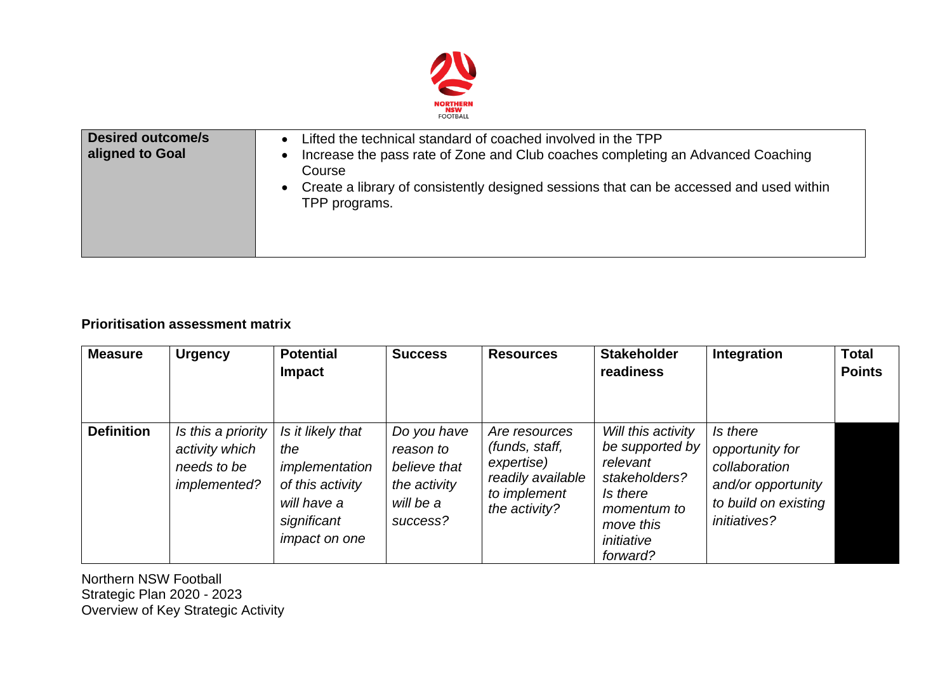

| <b>Desired outcome/s</b><br>aligned to Goal | Lifted the technical standard of coached involved in the TPP<br>Increase the pass rate of Zone and Club coaches completing an Advanced Coaching<br>Course<br>Create a library of consistently designed sessions that can be accessed and used within<br>TPP programs. |
|---------------------------------------------|-----------------------------------------------------------------------------------------------------------------------------------------------------------------------------------------------------------------------------------------------------------------------|
|---------------------------------------------|-----------------------------------------------------------------------------------------------------------------------------------------------------------------------------------------------------------------------------------------------------------------------|

## **Prioritisation assessment matrix**

| <b>Measure</b>    | <b>Urgency</b>                                                      | <b>Potential</b><br><b>Impact</b>                                                                                    | <b>Success</b>                                                                    | <b>Resources</b>                                                                                    | <b>Stakeholder</b><br>readiness                                                                                                      | Integration                                                                                                       | <b>Total</b><br><b>Points</b> |
|-------------------|---------------------------------------------------------------------|----------------------------------------------------------------------------------------------------------------------|-----------------------------------------------------------------------------------|-----------------------------------------------------------------------------------------------------|--------------------------------------------------------------------------------------------------------------------------------------|-------------------------------------------------------------------------------------------------------------------|-------------------------------|
| <b>Definition</b> | Is this a priority<br>activity which<br>needs to be<br>implemented? | Is it likely that<br>the<br>implementation<br>of this activity<br>will have a<br>significant<br><i>impact on one</i> | Do you have<br>reason to<br>believe that<br>the activity<br>will be a<br>success? | Are resources<br>(funds, staff,<br>expertise)<br>readily available<br>to implement<br>the activity? | Will this activity<br>be supported by<br>relevant<br>stakeholders?<br>Is there<br>momentum to<br>move this<br>initiative<br>forward? | Is there<br>opportunity for<br>collaboration<br>and/or opportunity<br>to build on existing<br><i>initiatives?</i> |                               |

Northern NSW Football Strategic Plan 2020 - 2023 Overview of Key Strategic Activity